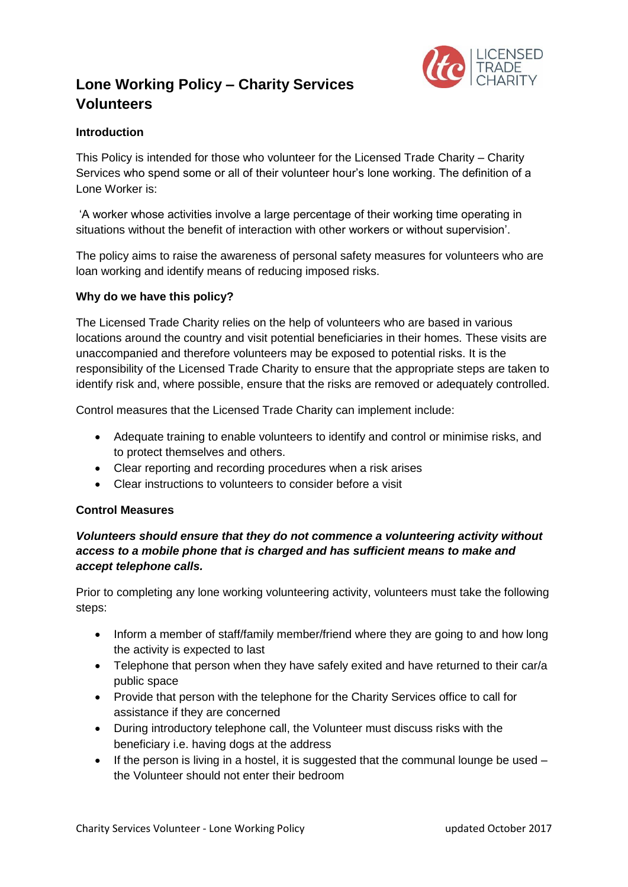# **Lone Working Policy – Charity Services Volunteers**



## **Introduction**

This Policy is intended for those who volunteer for the Licensed Trade Charity – Charity Services who spend some or all of their volunteer hour's lone working. The definition of a Lone Worker is:

'A worker whose activities involve a large percentage of their working time operating in situations without the benefit of interaction with other workers or without supervision'.

The policy aims to raise the awareness of personal safety measures for volunteers who are loan working and identify means of reducing imposed risks.

### **Why do we have this policy?**

The Licensed Trade Charity relies on the help of volunteers who are based in various locations around the country and visit potential beneficiaries in their homes. These visits are unaccompanied and therefore volunteers may be exposed to potential risks. It is the responsibility of the Licensed Trade Charity to ensure that the appropriate steps are taken to identify risk and, where possible, ensure that the risks are removed or adequately controlled.

Control measures that the Licensed Trade Charity can implement include:

- Adequate training to enable volunteers to identify and control or minimise risks, and to protect themselves and others.
- Clear reporting and recording procedures when a risk arises
- Clear instructions to volunteers to consider before a visit

#### **Control Measures**

### *Volunteers should ensure that they do not commence a volunteering activity without access to a mobile phone that is charged and has sufficient means to make and accept telephone calls.*

Prior to completing any lone working volunteering activity, volunteers must take the following steps:

- Inform a member of staff/family member/friend where they are going to and how long the activity is expected to last
- Telephone that person when they have safely exited and have returned to their car/a public space
- Provide that person with the telephone for the Charity Services office to call for assistance if they are concerned
- During introductory telephone call, the Volunteer must discuss risks with the beneficiary i.e. having dogs at the address
- $\bullet$  If the person is living in a hostel, it is suggested that the communal lounge be used  $$ the Volunteer should not enter their bedroom